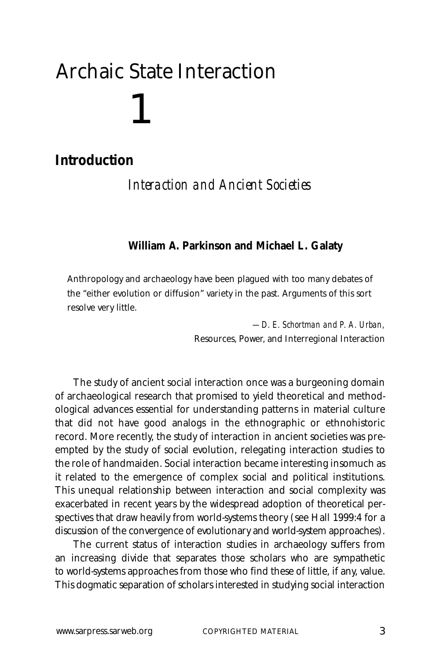# 1 Archaic State Interaction

# **Introduction**

# *Interaction and Ancient Societies*

### **William A. Parkinson and Michael L. Galaty**

Anthropology and archaeology have been plagued with too many debates of the "either evolution or diffusion" variety in the past. Arguments of this sort resolve very little.

> *—D. E. Schortman and P. A. Urban,*  Resources, Power, and Interregional Interaction

The study of ancient social interaction once was a burgeoning domain of archaeological research that promised to yield theoretical and methodological advances essential for understanding patterns in material culture that did not have good analogs in the ethnographic or ethnohistoric record. More recently, the study of interaction in ancient societies was preempted by the study of social evolution, relegating interaction studies to the role of handmaiden. Social interaction became interesting insomuch as it related to the emergence of complex social and political institutions. This unequal relationship between interaction and social complexity was exacerbated in recent years by the widespread adoption of theoretical perspectives that draw heavily from world-systems theory (see Hall 1999:4 for a discussion of the convergence of evolutionary and world-system approaches).

The current status of interaction studies in archaeology suffers from an increasing divide that separates those scholars who are sympathetic to world-systems approaches from those who find these of little, if any, value. This dogmatic separation of scholars interested in studying social interaction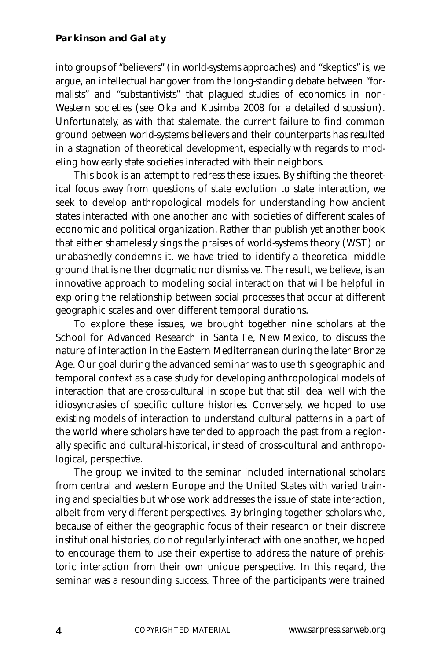into groups of "believers" (in world-systems approaches) and "skeptics" is, we argue, an intellectual hangover from the long-standing debate between "formalists" and "substantivists" that plagued studies of economics in non-Western societies (see Oka and Kusimba 2008 for a detailed discussion). Unfortunately, as with that stalemate, the current failure to find common ground between world-systems believers and their counterparts has resulted in a stagnation of theoretical development, especially with regards to modeling how early state societies interacted with their neighbors.

This book is an attempt to redress these issues. By shifting the theoretical focus away from questions of state evolution to state interaction, we seek to develop anthropological models for understanding how ancient states interacted with one another and with societies of different scales of economic and political organization. Rather than publish yet another book that either shamelessly sings the praises of world-systems theory (WST) or unabashedly condemns it, we have tried to identify a theoretical middle ground that is neither dogmatic nor dismissive. The result, we believe, is an innovative approach to modeling social interaction that will be helpful in exploring the relationship between social processes that occur at different geographic scales and over different temporal durations.

To explore these issues, we brought together nine scholars at the School for Advanced Research in Santa Fe, New Mexico, to discuss the nature of interaction in the Eastern Mediterranean during the later Bronze Age. Our goal during the advanced seminar was to use this geographic and temporal context as a case study for developing anthropological models of interaction that are cross-cultural in scope but that still deal well with the idiosyncrasies of specific culture histories. Conversely, we hoped to use existing models of interaction to understand cultural patterns in a part of the world where scholars have tended to approach the past from a regionally specific and cultural-historical, instead of cross-cultural and anthropological, perspective.

The group we invited to the seminar included international scholars from central and western Europe and the United States with varied training and specialties but whose work addresses the issue of state interaction, albeit from very different perspectives. By bringing together scholars who, because of either the geographic focus of their research or their discrete institutional histories, do not regularly interact with one another, we hoped to encourage them to use their expertise to address the nature of prehistoric interaction from their own unique perspective. In this regard, the seminar was a resounding success. Three of the participants were trained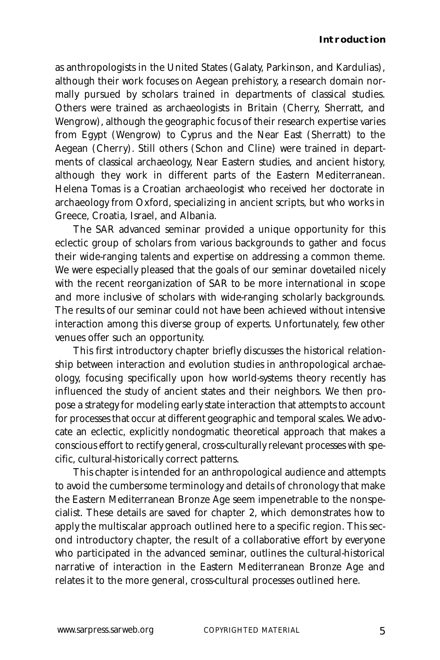as anthropologists in the United States (Galaty, Parkinson, and Kardulias), although their work focuses on Aegean prehistory, a research domain normally pursued by scholars trained in departments of classical studies. Others were trained as archaeologists in Britain (Cherry, Sherratt, and Wengrow), although the geographic focus of their research expertise varies from Egypt (Wengrow) to Cyprus and the Near East (Sherratt) to the Aegean (Cherry). Still others (Schon and Cline) were trained in departments of classical archaeology, Near Eastern studies, and ancient history, although they work in different parts of the Eastern Mediterranean. Helena Tomas is a Croatian archaeologist who received her doctorate in archaeology from Oxford, specializing in ancient scripts, but who works in Greece, Croatia, Israel, and Albania.

The SAR advanced seminar provided a unique opportunity for this eclectic group of scholars from various backgrounds to gather and focus their wide-ranging talents and expertise on addressing a common theme. We were especially pleased that the goals of our seminar dovetailed nicely with the recent reorganization of SAR to be more international in scope and more inclusive of scholars with wide-ranging scholarly backgrounds. The results of our seminar could not have been achieved without intensive interaction among this diverse group of experts. Unfortunately, few other venues offer such an opportunity.

This first introductory chapter briefly discusses the historical relationship between interaction and evolution studies in anthropological archaeology, focusing specifically upon how world-systems theory recently has influenced the study of ancient states and their neighbors. We then propose a strategy for modeling early state interaction that attempts to account for processes that occur at different geographic and temporal scales. We advocate an eclectic, explicitly nondogmatic theoretical approach that makes a conscious effort to rectify general, cross-culturally relevant processes with specific, cultural-historically correct patterns.

This chapter is intended for an anthropological audience and attempts to avoid the cumbersome terminology and details of chronology that make the Eastern Mediterranean Bronze Age seem impenetrable to the nonspecialist. These details are saved for chapter 2, which demonstrates how to apply the multiscalar approach outlined here to a specific region. This second introductory chapter, the result of a collaborative effort by everyone who participated in the advanced seminar, outlines the cultural-historical narrative of interaction in the Eastern Mediterranean Bronze Age and relates it to the more general, cross-cultural processes outlined here.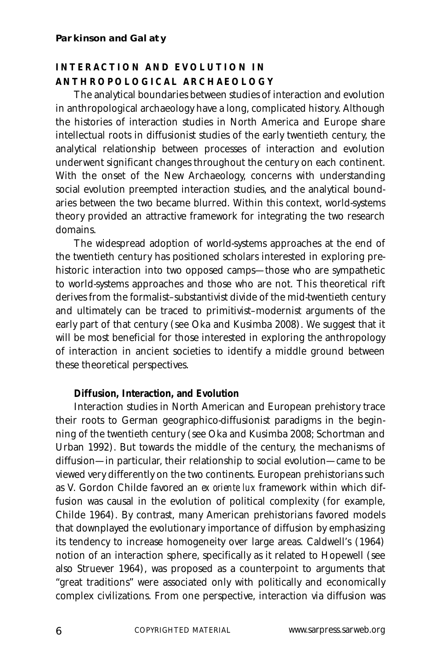# **INTERACTION AND EVOLUTION IN ANTHROPOLOGICAL ARCHAEOLOGY**

The analytical boundaries between studies of interaction and evolution in anthropological archaeology have a long, complicated history. Although the histories of interaction studies in North America and Europe share intellectual roots in diffusionist studies of the early twentieth century, the analytical relationship between processes of interaction and evolution underwent significant changes throughout the century on each continent. With the onset of the New Archaeology, concerns with understanding social evolution preempted interaction studies, and the analytical boundaries between the two became blurred. Within this context, world-systems theory provided an attractive framework for integrating the two research domains.

The widespread adoption of world-systems approaches at the end of the twentieth century has positioned scholars interested in exploring prehistoric interaction into two opposed camps—those who are sympathetic to world-systems approaches and those who are not. This theoretical rift derives from the formalist–substantivist divide of the mid-twentieth century and ultimately can be traced to primitivist–modernist arguments of the early part of that century (see Oka and Kusimba 2008). We suggest that it will be most beneficial for those interested in exploring the anthropology of interaction in ancient societies to identify a middle ground between these theoretical perspectives.

#### **Diffusion, Interaction, and Evolution**

Interaction studies in North American and European prehistory trace their roots to German geographico-diffusionist paradigms in the beginning of the twentieth century (see Oka and Kusimba 2008; Schortman and Urban 1992). But towards the middle of the century, the mechanisms of diffusion—in particular, their relationship to social evolution—came to be viewed very differently on the two continents. European prehistorians such as V. Gordon Childe favored an *ex oriente lux* framework within which diffusion was causal in the evolution of political complexity (for example, Childe 1964). By contrast, many American prehistorians favored models that downplayed the evolutionary importance of diffusion by emphasizing its tendency to increase homogeneity over large areas. Caldwell's (1964) notion of an interaction sphere, specifically as it related to Hopewell (see also Struever 1964), was proposed as a counterpoint to arguments that "great traditions" were associated only with politically and economically complex civilizations. From one perspective, interaction via diffusion was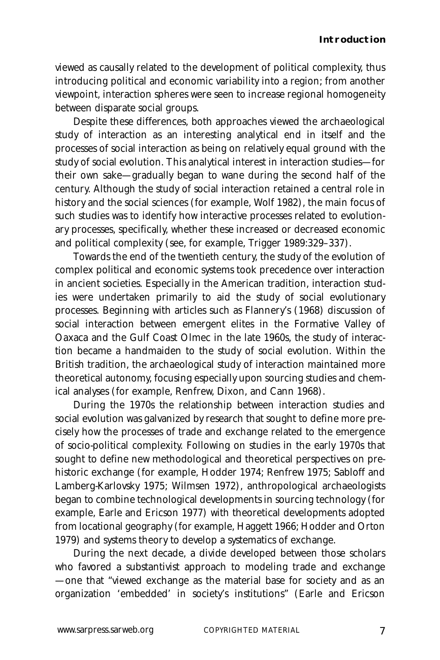viewed as causally related to the development of political complexity, thus introducing political and economic variability into a region; from another viewpoint, interaction spheres were seen to increase regional homogeneity between disparate social groups.

Despite these differences, both approaches viewed the archaeological study of interaction as an interesting analytical end in itself and the processes of social interaction as being on relatively equal ground with the study of social evolution. This analytical interest in interaction studies—for their own sake—gradually began to wane during the second half of the century. Although the study of social interaction retained a central role in history and the social sciences (for example, Wolf 1982), the main focus of such studies was to identify how interactive processes related to evolutionary processes, specifically, whether these increased or decreased economic and political complexity (see, for example, Trigger 1989:329–337).

Towards the end of the twentieth century, the study of the evolution of complex political and economic systems took precedence over interaction in ancient societies. Especially in the American tradition, interaction studies were undertaken primarily to aid the study of social evolutionary processes. Beginning with articles such as Flannery's (1968) discussion of social interaction between emergent elites in the Formative Valley of Oaxaca and the Gulf Coast Olmec in the late 1960s, the study of interaction became a handmaiden to the study of social evolution. Within the British tradition, the archaeological study of interaction maintained more theoretical autonomy, focusing especially upon sourcing studies and chemical analyses (for example, Renfrew, Dixon, and Cann 1968).

During the 1970s the relationship between interaction studies and social evolution was galvanized by research that sought to define more precisely how the processes of trade and exchange related to the emergence of socio-political complexity. Following on studies in the early 1970s that sought to define new methodological and theoretical perspectives on prehistoric exchange (for example, Hodder 1974; Renfrew 1975; Sabloff and Lamberg-Karlovsky 1975; Wilmsen 1972), anthropological archaeologists began to combine technological developments in sourcing technology (for example, Earle and Ericson 1977) with theoretical developments adopted from locational geography (for example, Haggett 1966; Hodder and Orton 1979) and systems theory to develop a systematics of exchange.

During the next decade, a divide developed between those scholars who favored a substantivist approach to modeling trade and exchange —one that "viewed exchange as the material base for society and as an organization 'embedded' in society's institutions" (Earle and Ericson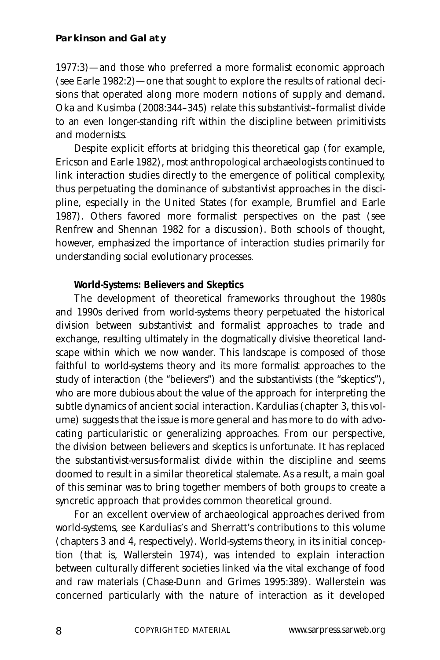1977:3)—and those who preferred a more formalist economic approach (see Earle 1982:2)—one that sought to explore the results of rational decisions that operated along more modern notions of supply and demand. Oka and Kusimba (2008:344–345) relate this substantivist–formalist divide to an even longer-standing rift within the discipline between primitivists and modernists.

Despite explicit efforts at bridging this theoretical gap (for example, Ericson and Earle 1982), most anthropological archaeologists continued to link interaction studies directly to the emergence of political complexity, thus perpetuating the dominance of substantivist approaches in the discipline, especially in the United States (for example, Brumfiel and Earle 1987). Others favored more formalist perspectives on the past (see Renfrew and Shennan 1982 for a discussion). Both schools of thought, however, emphasized the importance of interaction studies primarily for understanding social evolutionary processes.

#### **World-Systems: Believers and Skeptics**

The development of theoretical frameworks throughout the 1980s and 1990s derived from world-systems theory perpetuated the historical division between substantivist and formalist approaches to trade and exchange, resulting ultimately in the dogmatically divisive theoretical landscape within which we now wander. This landscape is composed of those faithful to world-systems theory and its more formalist approaches to the study of interaction (the "believers") and the substantivists (the "skeptics"), who are more dubious about the value of the approach for interpreting the subtle dynamics of ancient social interaction. Kardulias (chapter 3, this volume) suggests that the issue is more general and has more to do with advocating particularistic or generalizing approaches. From our perspective, the division between believers and skeptics is unfortunate. It has replaced the substantivist-versus-formalist divide within the discipline and seems doomed to result in a similar theoretical stalemate. As a result, a main goal of this seminar was to bring together members of both groups to create a syncretic approach that provides common theoretical ground.

For an excellent overview of archaeological approaches derived from world-systems, see Kardulias's and Sherratt's contributions to this volume (chapters 3 and 4, respectively). World-systems theory, in its initial conception (that is, Wallerstein 1974), was intended to explain interaction between culturally different societies linked via the vital exchange of food and raw materials (Chase-Dunn and Grimes 1995:389). Wallerstein was concerned particularly with the nature of interaction as it developed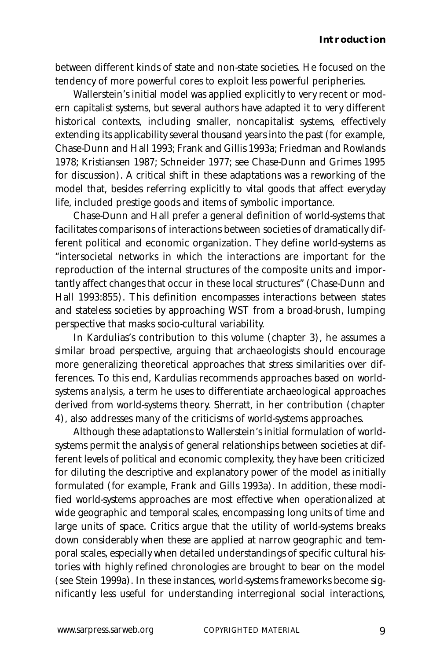between different kinds of state and non-state societies. He focused on the tendency of more powerful cores to exploit less powerful peripheries.

Wallerstein's initial model was applied explicitly to very recent or modern capitalist systems, but several authors have adapted it to very different historical contexts, including smaller, noncapitalist systems, effectively extending its applicability several thousand years into the past (for example, Chase-Dunn and Hall 1993; Frank and Gillis 1993a; Friedman and Rowlands 1978; Kristiansen 1987; Schneider 1977; see Chase-Dunn and Grimes 1995 for discussion). A critical shift in these adaptations was a reworking of the model that, besides referring explicitly to vital goods that affect everyday life, included prestige goods and items of symbolic importance.

Chase-Dunn and Hall prefer a general definition of world-systems that facilitates comparisons of interactions between societies of dramatically different political and economic organization. They define world-systems as "intersocietal networks in which the interactions are important for the reproduction of the internal structures of the composite units and importantly affect changes that occur in these local structures" (Chase-Dunn and Hall 1993:855). This definition encompasses interactions between states and stateless societies by approaching WST from a broad-brush, lumping perspective that masks socio-cultural variability.

In Kardulias's contribution to this volume (chapter 3), he assumes a similar broad perspective, arguing that archaeologists should encourage more generalizing theoretical approaches that stress similarities over differences. To this end, Kardulias recommends approaches based on worldsystems *analysis*, a term he uses to differentiate archaeological approaches derived from world-systems theory. Sherratt, in her contribution (chapter 4), also addresses many of the criticisms of world-systems approaches.

Although these adaptations to Wallerstein's initial formulation of worldsystems permit the analysis of general relationships between societies at different levels of political and economic complexity, they have been criticized for diluting the descriptive and explanatory power of the model as initially formulated (for example, Frank and Gills 1993a). In addition, these modified world-systems approaches are most effective when operationalized at wide geographic and temporal scales, encompassing long units of time and large units of space. Critics argue that the utility of world-systems breaks down considerably when these are applied at narrow geographic and temporal scales, especially when detailed understandings of specific cultural histories with highly refined chronologies are brought to bear on the model (see Stein 1999a). In these instances, world-systems frameworks become significantly less useful for understanding interregional social interactions,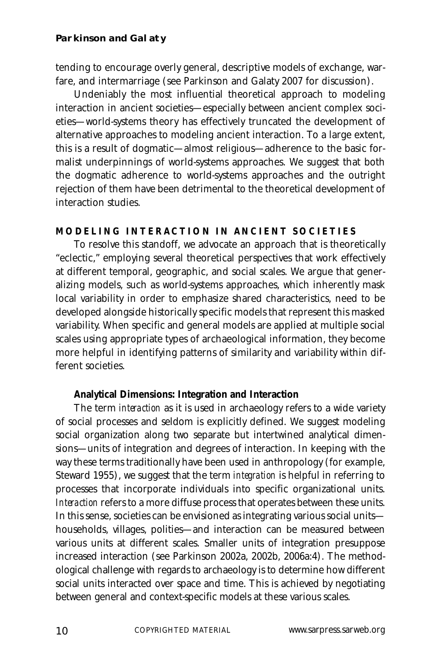tending to encourage overly general, descriptive models of exchange, warfare, and intermarriage (see Parkinson and Galaty 2007 for discussion).

Undeniably the most influential theoretical approach to modeling interaction in ancient societies—especially between ancient complex societies—world-systems theory has effectively truncated the development of alternative approaches to modeling ancient interaction. To a large extent, this is a result of dogmatic—almost religious—adherence to the basic formalist underpinnings of world-systems approaches. We suggest that both the dogmatic adherence to world-systems approaches and the outright rejection of them have been detrimental to the theoretical development of interaction studies.

#### **MODELING INTERACTION IN ANCIENT SOCIETIES**

To resolve this standoff, we advocate an approach that is theoretically "eclectic," employing several theoretical perspectives that work effectively at different temporal, geographic, and social scales. We argue that generalizing models, such as world-systems approaches, which inherently mask local variability in order to emphasize shared characteristics, need to be developed alongside historically specific models that represent this masked variability. When specific and general models are applied at multiple social scales using appropriate types of archaeological information, they become more helpful in identifying patterns of similarity and variability within different societies.

#### **Analytical Dimensions: Integration and Interaction**

The term *interaction* as it is used in archaeology refers to a wide variety of social processes and seldom is explicitly defined. We suggest modeling social organization along two separate but intertwined analytical dimensions—units of integration and degrees of interaction. In keeping with the way these terms traditionally have been used in anthropology (for example, Steward 1955), we suggest that the term *integration* is helpful in referring to processes that incorporate individuals into specific organizational units. *Interaction* refers to a more diffuse process that operates between these units. In this sense, societies can be envisioned as integrating various social units households, villages, polities—and interaction can be measured between various units at different scales. Smaller units of integration presuppose increased interaction (see Parkinson 2002a, 2002b, 2006a:4). The methodological challenge with regards to archaeology is to determine how different social units interacted over space and time. This is achieved by negotiating between general and context-specific models at these various scales.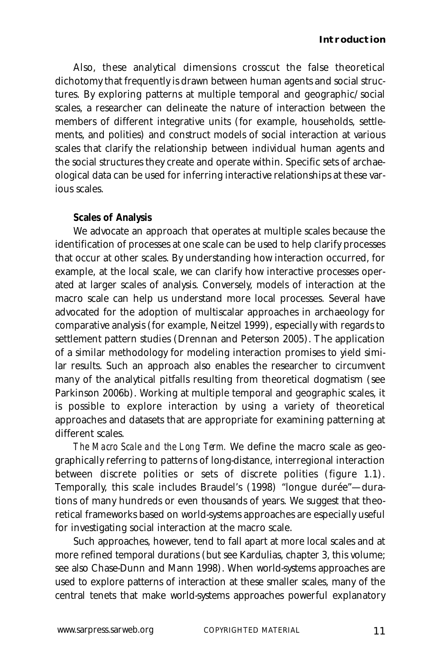Also, these analytical dimensions crosscut the false theoretical dichotomy that frequently is drawn between human agents and social structures. By exploring patterns at multiple temporal and geographic/social scales, a researcher can delineate the nature of interaction between the members of different integrative units (for example, households, settlements, and polities) and construct models of social interaction at various scales that clarify the relationship between individual human agents and the social structures they create and operate within. Specific sets of archaeological data can be used for inferring interactive relationships at these various scales.

#### **Scales of Analysis**

We advocate an approach that operates at multiple scales because the identification of processes at one scale can be used to help clarify processes that occur at other scales. By understanding how interaction occurred, for example, at the local scale, we can clarify how interactive processes operated at larger scales of analysis. Conversely, models of interaction at the macro scale can help us understand more local processes. Several have advocated for the adoption of multiscalar approaches in archaeology for comparative analysis (for example, Neitzel 1999), especially with regards to settlement pattern studies (Drennan and Peterson 2005). The application of a similar methodology for modeling interaction promises to yield similar results. Such an approach also enables the researcher to circumvent many of the analytical pitfalls resulting from theoretical dogmatism (see Parkinson 2006b). Working at multiple temporal and geographic scales, it is possible to explore interaction by using a variety of theoretical approaches and datasets that are appropriate for examining patterning at different scales.

*The Macro Scale and the Long Term.* We define the macro scale as geographically referring to patterns of long-distance, interregional interaction between discrete polities or sets of discrete polities (figure 1.1). Temporally, this scale includes Braudel's (1998) "longue durée"—durations of many hundreds or even thousands of years. We suggest that theoretical frameworks based on world-systems approaches are especially useful for investigating social interaction at the macro scale.

Such approaches, however, tend to fall apart at more local scales and at more refined temporal durations (but see Kardulias, chapter 3, this volume; see also Chase-Dunn and Mann 1998). When world-systems approaches are used to explore patterns of interaction at these smaller scales, many of the central tenets that make world-systems approaches powerful explanatory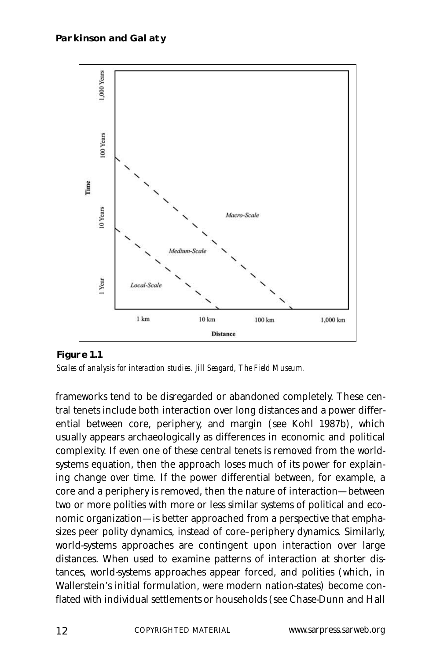



frameworks tend to be disregarded or abandoned completely. These central tenets include both interaction over long distances and a power differential between core, periphery, and margin (see Kohl 1987b), which usually appears archaeologically as differences in economic and political complexity. If even one of these central tenets is removed from the worldsystems equation, then the approach loses much of its power for explaining change over time. If the power differential between, for example, a core and a periphery is removed, then the nature of interaction—between two or more polities with more or less similar systems of political and economic organization—is better approached from a perspective that emphasizes peer polity dynamics, instead of core–periphery dynamics. Similarly, world-systems approaches are contingent upon interaction over large distances. When used to examine patterns of interaction at shorter distances, world-systems approaches appear forced, and polities (which, in Wallerstein's initial formulation, were modern nation-states) become conflated with individual settlements or households (see Chase-Dunn and Hall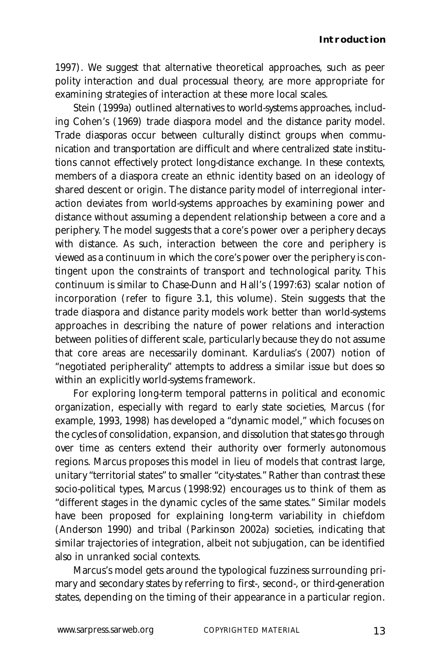1997). We suggest that alternative theoretical approaches, such as peer polity interaction and dual processual theory, are more appropriate for examining strategies of interaction at these more local scales.

Stein (1999a) outlined alternatives to world-systems approaches, including Cohen's (1969) trade diaspora model and the distance parity model. Trade diasporas occur between culturally distinct groups when communication and transportation are difficult and where centralized state institutions cannot effectively protect long-distance exchange. In these contexts, members of a diaspora create an ethnic identity based on an ideology of shared descent or origin. The distance parity model of interregional interaction deviates from world-systems approaches by examining power and distance without assuming a dependent relationship between a core and a periphery. The model suggests that a core's power over a periphery decays with distance. As such, interaction between the core and periphery is viewed as a continuum in which the core's power over the periphery is contingent upon the constraints of transport and technological parity. This continuum is similar to Chase-Dunn and Hall's (1997:63) scalar notion of incorporation (refer to figure 3.1, this volume). Stein suggests that the trade diaspora and distance parity models work better than world-systems approaches in describing the nature of power relations and interaction between polities of different scale, particularly because they do not assume that core areas are necessarily dominant. Kardulias's (2007) notion of "negotiated peripherality" attempts to address a similar issue but does so within an explicitly world-systems framework.

For exploring long-term temporal patterns in political and economic organization, especially with regard to early state societies, Marcus (for example, 1993, 1998) has developed a "dynamic model," which focuses on the cycles of consolidation, expansion, and dissolution that states go through over time as centers extend their authority over formerly autonomous regions. Marcus proposes this model in lieu of models that contrast large, unitary "territorial states" to smaller "city-states." Rather than contrast these socio-political types, Marcus (1998:92) encourages us to think of them as "different stages in the dynamic cycles of the same states." Similar models have been proposed for explaining long-term variability in chiefdom (Anderson 1990) and tribal (Parkinson 2002a) societies, indicating that similar trajectories of integration, albeit not subjugation, can be identified also in unranked social contexts.

Marcus's model gets around the typological fuzziness surrounding primary and secondary states by referring to first-, second-, or third-generation states, depending on the timing of their appearance in a particular region.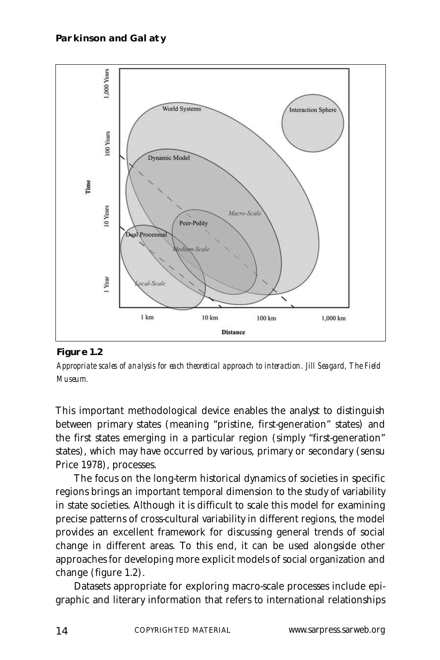

#### **Figure 1.2**

*Appropriate scales of analysis for each theoretical approach to interaction. Jill Seagard, The Field Museum.*

This important methodological device enables the analyst to distinguish between primary states (meaning "pristine, first-generation" states) and the first states emerging in a particular region (simply "first-generation" states), which may have occurred by various, primary or secondary (sensu Price 1978), processes.

The focus on the long-term historical dynamics of societies in specific regions brings an important temporal dimension to the study of variability in state societies. Although it is difficult to scale this model for examining precise patterns of cross-cultural variability in different regions, the model provides an excellent framework for discussing general trends of social change in different areas. To this end, it can be used alongside other approaches for developing more explicit models of social organization and change (figure 1.2).

Datasets appropriate for exploring macro-scale processes include epigraphic and literary information that refers to international relationships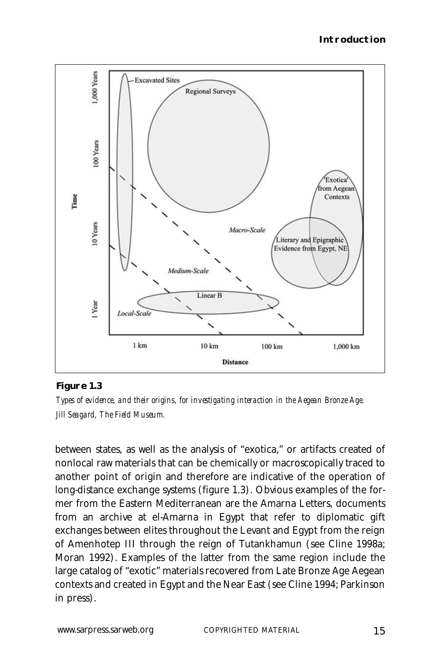

#### **Figure 1.3**

*Types of evidence, and their origins, for investigating interaction in the Aegean Bronze Age. Jill Seagard, The Field Museum.*

between states, as well as the analysis of "exotica," or artifacts created of nonlocal raw materials that can be chemically or macroscopically traced to another point of origin and therefore are indicative of the operation of long-distance exchange systems (figure 1.3). Obvious examples of the former from the Eastern Mediterranean are the Amarna Letters, documents from an archive at el-Amarna in Egypt that refer to diplomatic gift exchanges between elites throughout the Levant and Egypt from the reign of Amenhotep III through the reign of Tutankhamun (see Cline 1998a; Moran 1992). Examples of the latter from the same region include the large catalog of "exotic" materials recovered from Late Bronze Age Aegean contexts and created in Egypt and the Near East (see Cline 1994; Parkinson in press).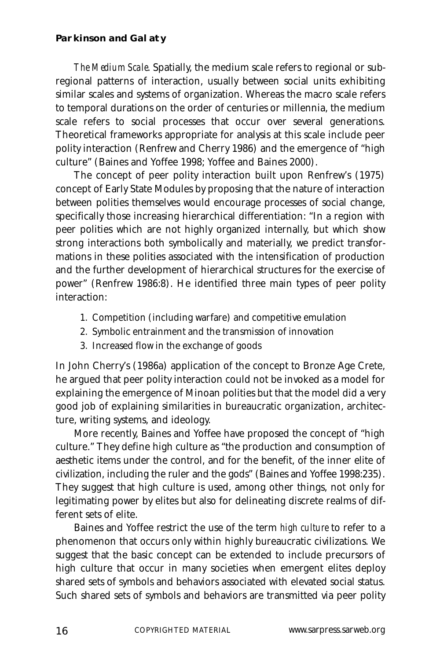*The Medium Scale*. Spatially, the medium scale refers to regional or subregional patterns of interaction, usually between social units exhibiting similar scales and systems of organization. Whereas the macro scale refers to temporal durations on the order of centuries or millennia, the medium scale refers to social processes that occur over several generations. Theoretical frameworks appropriate for analysis at this scale include peer polity interaction (Renfrew and Cherry 1986) and the emergence of "high culture" (Baines and Yoffee 1998; Yoffee and Baines 2000).

The concept of peer polity interaction built upon Renfrew's (1975) concept of Early State Modules by proposing that the nature of interaction between polities themselves would encourage processes of social change, specifically those increasing hierarchical differentiation: "In a region with peer polities which are not highly organized internally, but which show strong interactions both symbolically and materially, we predict transformations in these polities associated with the intensification of production and the further development of hierarchical structures for the exercise of power" (Renfrew 1986:8). He identified three main types of peer polity interaction:

- 1. Competition (including warfare) and competitive emulation
- 2. Symbolic entrainment and the transmission of innovation
- 3. Increased flow in the exchange of goods

In John Cherry's (1986a) application of the concept to Bronze Age Crete, he argued that peer polity interaction could not be invoked as a model for explaining the emergence of Minoan polities but that the model did a very good job of explaining similarities in bureaucratic organization, architecture, writing systems, and ideology.

More recently, Baines and Yoffee have proposed the concept of "high culture." They define high culture as "the production and consumption of aesthetic items under the control, and for the benefit, of the inner elite of civilization, including the ruler and the gods" (Baines and Yoffee 1998:235). They suggest that high culture is used, among other things, not only for legitimating power by elites but also for delineating discrete realms of different sets of elite.

Baines and Yoffee restrict the use of the term *high culture* to refer to a phenomenon that occurs only within highly bureaucratic civilizations. We suggest that the basic concept can be extended to include precursors of high culture that occur in many societies when emergent elites deploy shared sets of symbols and behaviors associated with elevated social status. Such shared sets of symbols and behaviors are transmitted via peer polity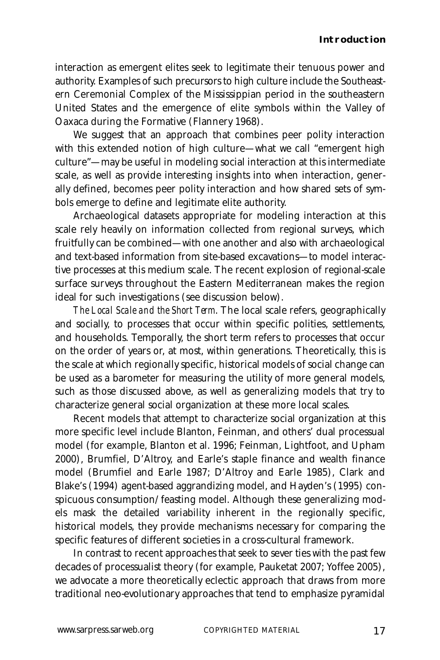interaction as emergent elites seek to legitimate their tenuous power and authority. Examples of such precursors to high culture include the Southeastern Ceremonial Complex of the Mississippian period in the southeastern United States and the emergence of elite symbols within the Valley of Oaxaca during the Formative (Flannery 1968).

We suggest that an approach that combines peer polity interaction with this extended notion of high culture—what we call "emergent high culture"—may be useful in modeling social interaction at this intermediate scale, as well as provide interesting insights into when interaction, generally defined, becomes peer polity interaction and how shared sets of symbols emerge to define and legitimate elite authority.

Archaeological datasets appropriate for modeling interaction at this scale rely heavily on information collected from regional surveys, which fruitfully can be combined—with one another and also with archaeological and text-based information from site-based excavations—to model interactive processes at this medium scale. The recent explosion of regional-scale surface surveys throughout the Eastern Mediterranean makes the region ideal for such investigations (see discussion below).

*The Local Scale and the Short Term*. The local scale refers, geographically and socially, to processes that occur within specific polities, settlements, and households. Temporally, the short term refers to processes that occur on the order of years or, at most, within generations. Theoretically, this is the scale at which regionally specific, historical models of social change can be used as a barometer for measuring the utility of more general models, such as those discussed above, as well as generalizing models that try to characterize general social organization at these more local scales.

Recent models that attempt to characterize social organization at this more specific level include Blanton, Feinman, and others' dual processual model (for example, Blanton et al. 1996; Feinman, Lightfoot, and Upham 2000), Brumfiel, D'Altroy, and Earle's staple finance and wealth finance model (Brumfiel and Earle 1987; D'Altroy and Earle 1985), Clark and Blake's (1994) agent-based aggrandizing model, and Hayden's (1995) conspicuous consumption/feasting model. Although these generalizing models mask the detailed variability inherent in the regionally specific, historical models, they provide mechanisms necessary for comparing the specific features of different societies in a cross-cultural framework.

In contrast to recent approaches that seek to sever ties with the past few decades of processualist theory (for example, Pauketat 2007; Yoffee 2005), we advocate a more theoretically eclectic approach that draws from more traditional neo-evolutionary approaches that tend to emphasize pyramidal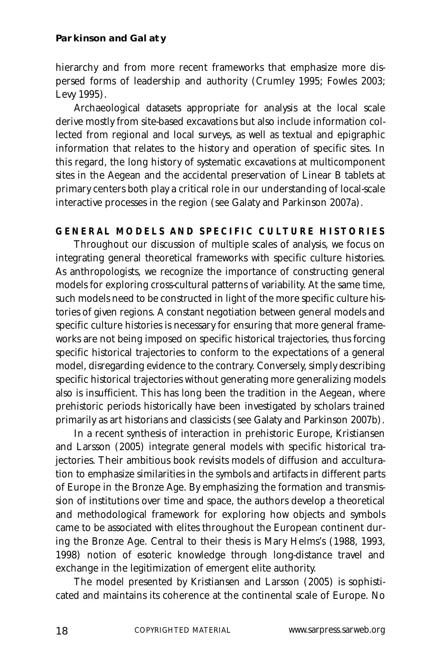hierarchy and from more recent frameworks that emphasize more dispersed forms of leadership and authority (Crumley 1995; Fowles 2003; Levy 1995).

Archaeological datasets appropriate for analysis at the local scale derive mostly from site-based excavations but also include information collected from regional and local surveys, as well as textual and epigraphic information that relates to the history and operation of specific sites. In this regard, the long history of systematic excavations at multicomponent sites in the Aegean and the accidental preservation of Linear B tablets at primary centers both play a critical role in our understanding of local-scale interactive processes in the region (see Galaty and Parkinson 2007a).

#### **GENERAL MODELS AND SPECIFIC CULTURE HISTORIES**

Throughout our discussion of multiple scales of analysis, we focus on integrating general theoretical frameworks with specific culture histories. As anthropologists, we recognize the importance of constructing general models for exploring cross-cultural patterns of variability. At the same time, such models need to be constructed in light of the more specific culture histories of given regions. A constant negotiation between general models and specific culture histories is necessary for ensuring that more general frameworks are not being imposed on specific historical trajectories, thus forcing specific historical trajectories to conform to the expectations of a general model, disregarding evidence to the contrary. Conversely, simply describing specific historical trajectories without generating more generalizing models also is insufficient. This has long been the tradition in the Aegean, where prehistoric periods historically have been investigated by scholars trained primarily as art historians and classicists (see Galaty and Parkinson 2007b).

In a recent synthesis of interaction in prehistoric Europe, Kristiansen and Larsson (2005) integrate general models with specific historical trajectories. Their ambitious book revisits models of diffusion and acculturation to emphasize similarities in the symbols and artifacts in different parts of Europe in the Bronze Age. By emphasizing the formation and transmission of institutions over time and space, the authors develop a theoretical and methodological framework for exploring how objects and symbols came to be associated with elites throughout the European continent during the Bronze Age. Central to their thesis is Mary Helms's (1988, 1993, 1998) notion of esoteric knowledge through long-distance travel and exchange in the legitimization of emergent elite authority.

The model presented by Kristiansen and Larsson (2005) is sophisticated and maintains its coherence at the continental scale of Europe. No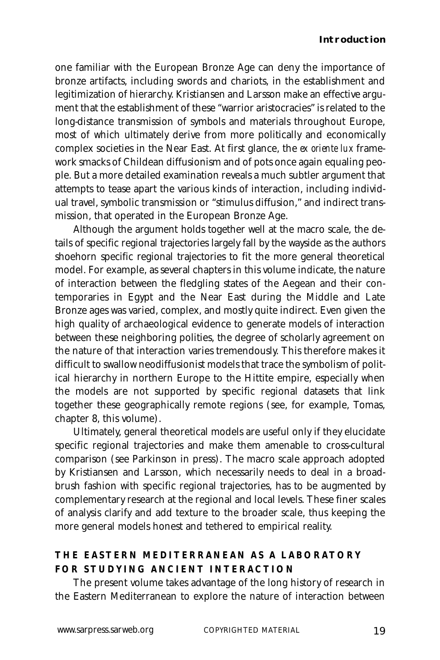one familiar with the European Bronze Age can deny the importance of bronze artifacts, including swords and chariots, in the establishment and legitimization of hierarchy. Kristiansen and Larsson make an effective argument that the establishment of these "warrior aristocracies" is related to the long-distance transmission of symbols and materials throughout Europe, most of which ultimately derive from more politically and economically complex societies in the Near East. At first glance, the *ex oriente lux* framework smacks of Childean diffusionism and of pots once again equaling people. But a more detailed examination reveals a much subtler argument that attempts to tease apart the various kinds of interaction, including individual travel, symbolic transmission or "stimulus diffusion," and indirect transmission, that operated in the European Bronze Age.

Although the argument holds together well at the macro scale, the details of specific regional trajectories largely fall by the wayside as the authors shoehorn specific regional trajectories to fit the more general theoretical model. For example, as several chapters in this volume indicate, the nature of interaction between the fledgling states of the Aegean and their contemporaries in Egypt and the Near East during the Middle and Late Bronze ages was varied, complex, and mostly quite indirect. Even given the high quality of archaeological evidence to generate models of interaction between these neighboring polities, the degree of scholarly agreement on the nature of that interaction varies tremendously. This therefore makes it difficult to swallow neodiffusionist models that trace the symbolism of political hierarchy in northern Europe to the Hittite empire, especially when the models are not supported by specific regional datasets that link together these geographically remote regions (see, for example, Tomas, chapter 8, this volume).

Ultimately, general theoretical models are useful only if they elucidate specific regional trajectories and make them amenable to cross-cultural comparison (see Parkinson in press). The macro scale approach adopted by Kristiansen and Larsson, which necessarily needs to deal in a broadbrush fashion with specific regional trajectories, has to be augmented by complementary research at the regional and local levels. These finer scales of analysis clarify and add texture to the broader scale, thus keeping the more general models honest and tethered to empirical reality.

## **THE EASTERN MEDITERRANEAN AS A LABORATORY FOR STUDYING ANCIENT INTERACTION**

The present volume takes advantage of the long history of research in the Eastern Mediterranean to explore the nature of interaction between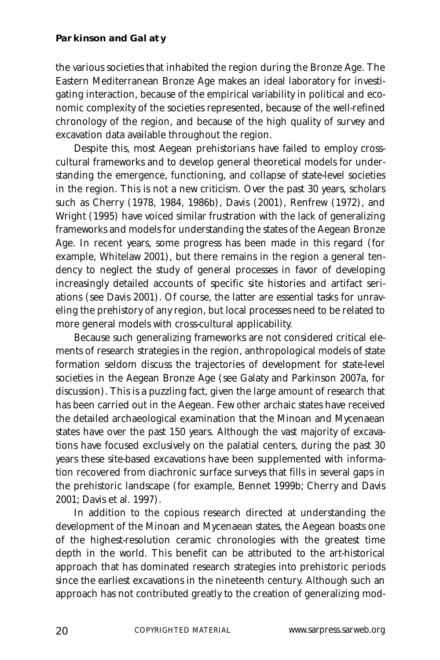the various societies that inhabited the region during the Bronze Age. The Eastern Mediterranean Bronze Age makes an ideal laboratory for investigating interaction, because of the empirical variability in political and economic complexity of the societies represented, because of the well-refined chronology of the region, and because of the high quality of survey and excavation data available throughout the region.

Despite this, most Aegean prehistorians have failed to employ crosscultural frameworks and to develop general theoretical models for understanding the emergence, functioning, and collapse of state-level societies in the region. This is not a new criticism. Over the past 30 years, scholars such as Cherry (1978, 1984, 1986b), Davis (2001), Renfrew (1972), and Wright (1995) have voiced similar frustration with the lack of generalizing frameworks and models for understanding the states of the Aegean Bronze Age. In recent years, some progress has been made in this regard (for example, Whitelaw 2001), but there remains in the region a general tendency to neglect the study of general processes in favor of developing increasingly detailed accounts of specific site histories and artifact seriations (see Davis 2001). Of course, the latter are essential tasks for unraveling the prehistory of any region, but local processes need to be related to more general models with cross-cultural applicability.

Because such generalizing frameworks are not considered critical elements of research strategies in the region, anthropological models of state formation seldom discuss the trajectories of development for state-level societies in the Aegean Bronze Age (see Galaty and Parkinson 2007a, for discussion). This is a puzzling fact, given the large amount of research that has been carried out in the Aegean. Few other archaic states have received the detailed archaeological examination that the Minoan and Mycenaean states have over the past 150 years. Although the vast majority of excavations have focused exclusively on the palatial centers, during the past 30 years these site-based excavations have been supplemented with information recovered from diachronic surface surveys that fills in several gaps in the prehistoric landscape (for example, Bennet 1999b; Cherry and Davis 2001; Davis et al. 1997).

In addition to the copious research directed at understanding the development of the Minoan and Mycenaean states, the Aegean boasts one of the highest-resolution ceramic chronologies with the greatest time depth in the world. This benefit can be attributed to the art-historical approach that has dominated research strategies into prehistoric periods since the earliest excavations in the nineteenth century. Although such an approach has not contributed greatly to the creation of generalizing mod-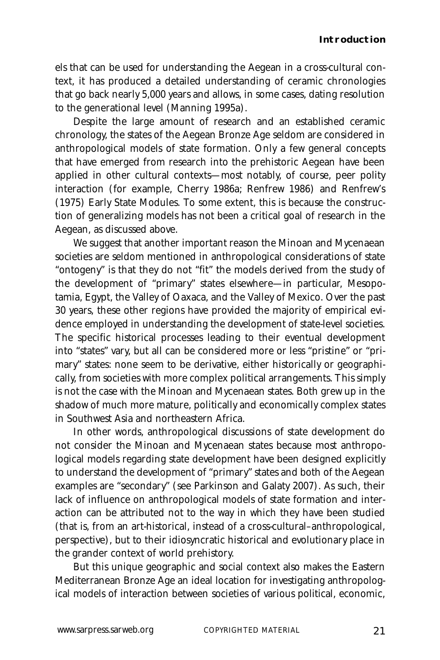els that can be used for understanding the Aegean in a cross-cultural context, it has produced a detailed understanding of ceramic chronologies that go back nearly 5,000 years and allows, in some cases, dating resolution to the generational level (Manning 1995a).

Despite the large amount of research and an established ceramic chronology, the states of the Aegean Bronze Age seldom are considered in anthropological models of state formation. Only a few general concepts that have emerged from research into the prehistoric Aegean have been applied in other cultural contexts—most notably, of course, peer polity interaction (for example, Cherry 1986a; Renfrew 1986) and Renfrew's (1975) Early State Modules. To some extent, this is because the construction of generalizing models has not been a critical goal of research in the Aegean, as discussed above.

We suggest that another important reason the Minoan and Mycenaean societies are seldom mentioned in anthropological considerations of state "ontogeny" is that they do not "fit" the models derived from the study of the development of "primary" states elsewhere—in particular, Mesopotamia, Egypt, the Valley of Oaxaca, and the Valley of Mexico. Over the past 30 years, these other regions have provided the majority of empirical evidence employed in understanding the development of state-level societies. The specific historical processes leading to their eventual development into "states" vary, but all can be considered more or less "pristine" or "primary" states: none seem to be derivative, either historically or geographically, from societies with more complex political arrangements. This simply is not the case with the Minoan and Mycenaean states. Both grew up in the shadow of much more mature, politically and economically complex states in Southwest Asia and northeastern Africa.

In other words, anthropological discussions of state development do not consider the Minoan and Mycenaean states because most anthropological models regarding state development have been designed explicitly to understand the development of "primary" states and both of the Aegean examples are "secondary" (see Parkinson and Galaty 2007). As such, their lack of influence on anthropological models of state formation and interaction can be attributed not to the way in which they have been studied (that is, from an art-historical, instead of a cross-cultural–anthropological, perspective), but to their idiosyncratic historical and evolutionary place in the grander context of world prehistory.

But this unique geographic and social context also makes the Eastern Mediterranean Bronze Age an ideal location for investigating anthropological models of interaction between societies of various political, economic,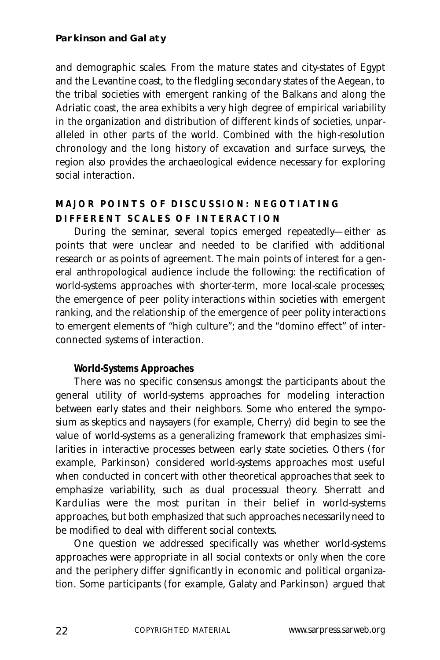and demographic scales. From the mature states and city-states of Egypt and the Levantine coast, to the fledgling secondary states of the Aegean, to the tribal societies with emergent ranking of the Balkans and along the Adriatic coast, the area exhibits a very high degree of empirical variability in the organization and distribution of different kinds of societies, unparalleled in other parts of the world. Combined with the high-resolution chronology and the long history of excavation and surface surveys, the region also provides the archaeological evidence necessary for exploring social interaction.

## **MAJOR POINTS OF DISCUSSION: NEGOTIATING DIFFERENT SCALES OF INTERACTION**

During the seminar, several topics emerged repeatedly—either as points that were unclear and needed to be clarified with additional research or as points of agreement. The main points of interest for a general anthropological audience include the following: the rectification of world-systems approaches with shorter-term, more local-scale processes; the emergence of peer polity interactions within societies with emergent ranking, and the relationship of the emergence of peer polity interactions to emergent elements of "high culture"; and the "domino effect" of interconnected systems of interaction.

#### **World-Systems Approaches**

There was no specific consensus amongst the participants about the general utility of world-systems approaches for modeling interaction between early states and their neighbors. Some who entered the symposium as skeptics and naysayers (for example, Cherry) did begin to see the value of world-systems as a generalizing framework that emphasizes similarities in interactive processes between early state societies. Others (for example, Parkinson) considered world-systems approaches most useful when conducted in concert with other theoretical approaches that seek to emphasize variability, such as dual processual theory. Sherratt and Kardulias were the most puritan in their belief in world-systems approaches, but both emphasized that such approaches necessarily need to be modified to deal with different social contexts.

One question we addressed specifically was whether world-systems approaches were appropriate in all social contexts or only when the core and the periphery differ significantly in economic and political organization. Some participants (for example, Galaty and Parkinson) argued that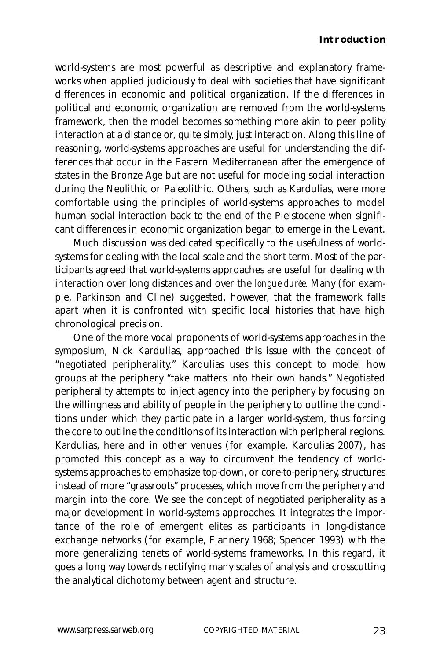world-systems are most powerful as descriptive and explanatory frameworks when applied judiciously to deal with societies that have significant differences in economic and political organization. If the differences in political and economic organization are removed from the world-systems framework, then the model becomes something more akin to peer polity interaction at a distance or, quite simply, just interaction. Along this line of reasoning, world-systems approaches are useful for understanding the differences that occur in the Eastern Mediterranean after the emergence of states in the Bronze Age but are not useful for modeling social interaction during the Neolithic or Paleolithic. Others, such as Kardulias, were more comfortable using the principles of world-systems approaches to model human social interaction back to the end of the Pleistocene when significant differences in economic organization began to emerge in the Levant.

Much discussion was dedicated specifically to the usefulness of worldsystems for dealing with the local scale and the short term. Most of the participants agreed that world-systems approaches are useful for dealing with interaction over long distances and over the *longue durée*. Many (for example, Parkinson and Cline) suggested, however, that the framework falls apart when it is confronted with specific local histories that have high chronological precision.

One of the more vocal proponents of world-systems approaches in the symposium, Nick Kardulias, approached this issue with the concept of "negotiated peripherality." Kardulias uses this concept to model how groups at the periphery "take matters into their own hands." Negotiated peripherality attempts to inject agency into the periphery by focusing on the willingness and ability of people in the periphery to outline the conditions under which they participate in a larger world-system, thus forcing the core to outline the conditions of its interaction with peripheral regions. Kardulias, here and in other venues (for example, Kardulias 2007), has promoted this concept as a way to circumvent the tendency of worldsystems approaches to emphasize top-down, or core-to-periphery, structures instead of more "grassroots" processes, which move from the periphery and margin into the core. We see the concept of negotiated peripherality as a major development in world-systems approaches. It integrates the importance of the role of emergent elites as participants in long-distance exchange networks (for example, Flannery 1968; Spencer 1993) with the more generalizing tenets of world-systems frameworks. In this regard, it goes a long way towards rectifying many scales of analysis and crosscutting the analytical dichotomy between agent and structure.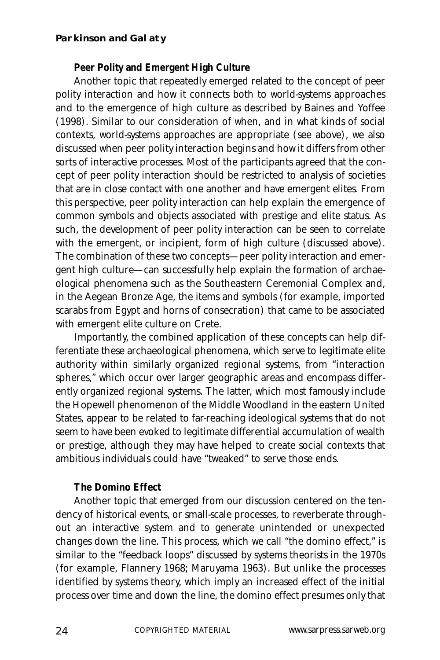#### **Peer Polity and Emergent High Culture**

Another topic that repeatedly emerged related to the concept of peer polity interaction and how it connects both to world-systems approaches and to the emergence of high culture as described by Baines and Yoffee (1998). Similar to our consideration of when, and in what kinds of social contexts, world-systems approaches are appropriate (see above), we also discussed when peer polity interaction begins and how it differs from other sorts of interactive processes. Most of the participants agreed that the concept of peer polity interaction should be restricted to analysis of societies that are in close contact with one another and have emergent elites. From this perspective, peer polity interaction can help explain the emergence of common symbols and objects associated with prestige and elite status. As such, the development of peer polity interaction can be seen to correlate with the emergent, or incipient, form of high culture (discussed above). The combination of these two concepts—peer polity interaction and emergent high culture—can successfully help explain the formation of archaeological phenomena such as the Southeastern Ceremonial Complex and, in the Aegean Bronze Age, the items and symbols (for example, imported scarabs from Egypt and horns of consecration) that came to be associated with emergent elite culture on Crete.

Importantly, the combined application of these concepts can help differentiate these archaeological phenomena, which serve to legitimate elite authority within similarly organized regional systems, from "interaction spheres," which occur over larger geographic areas and encompass differently organized regional systems. The latter, which most famously include the Hopewell phenomenon of the Middle Woodland in the eastern United States, appear to be related to far-reaching ideological systems that do not seem to have been evoked to legitimate differential accumulation of wealth or prestige, although they may have helped to create social contexts that ambitious individuals could have "tweaked" to serve those ends.

#### **The Domino Effect**

Another topic that emerged from our discussion centered on the tendency of historical events, or small-scale processes, to reverberate throughout an interactive system and to generate unintended or unexpected changes down the line. This process, which we call "the domino effect," is similar to the "feedback loops" discussed by systems theorists in the 1970s (for example, Flannery 1968; Maruyama 1963). But unlike the processes identified by systems theory, which imply an increased effect of the initial process over time and down the line, the domino effect presumes only that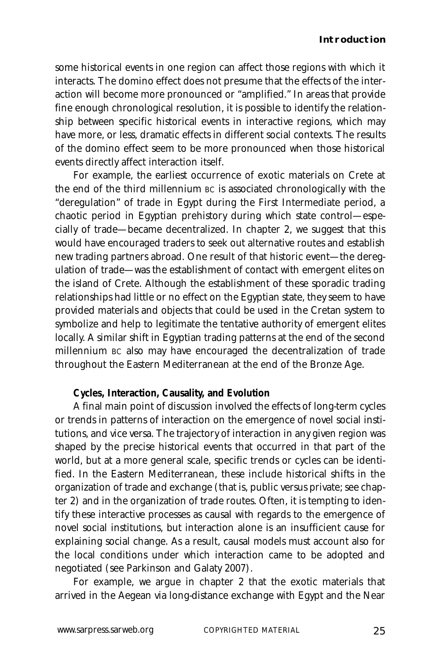some historical events in one region can affect those regions with which it interacts. The domino effect does not presume that the effects of the interaction will become more pronounced or "amplified." In areas that provide fine enough chronological resolution, it is possible to identify the relationship between specific historical events in interactive regions, which may have more, or less, dramatic effects in different social contexts. The results of the domino effect seem to be more pronounced when those historical events directly affect interaction itself.

For example, the earliest occurrence of exotic materials on Crete at the end of the third millennium BC is associated chronologically with the "deregulation" of trade in Egypt during the First Intermediate period, a chaotic period in Egyptian prehistory during which state control—especially of trade—became decentralized. In chapter 2, we suggest that this would have encouraged traders to seek out alternative routes and establish new trading partners abroad. One result of that historic event—the deregulation of trade—was the establishment of contact with emergent elites on the island of Crete. Although the establishment of these sporadic trading relationships had little or no effect on the Egyptian state, they seem to have provided materials and objects that could be used in the Cretan system to symbolize and help to legitimate the tentative authority of emergent elites locally. A similar shift in Egyptian trading patterns at the end of the second millennium BC also may have encouraged the decentralization of trade throughout the Eastern Mediterranean at the end of the Bronze Age.

#### **Cycles, Interaction, Causality, and Evolution**

A final main point of discussion involved the effects of long-term cycles or trends in patterns of interaction on the emergence of novel social institutions, and vice versa. The trajectory of interaction in any given region was shaped by the precise historical events that occurred in that part of the world, but at a more general scale, specific trends or cycles can be identified. In the Eastern Mediterranean, these include historical shifts in the organization of trade and exchange (that is, public versus private; see chapter 2) and in the organization of trade routes. Often, it is tempting to identify these interactive processes as causal with regards to the emergence of novel social institutions, but interaction alone is an insufficient cause for explaining social change. As a result, causal models must account also for the local conditions under which interaction came to be adopted and negotiated (see Parkinson and Galaty 2007).

For example, we argue in chapter 2 that the exotic materials that arrived in the Aegean via long-distance exchange with Egypt and the Near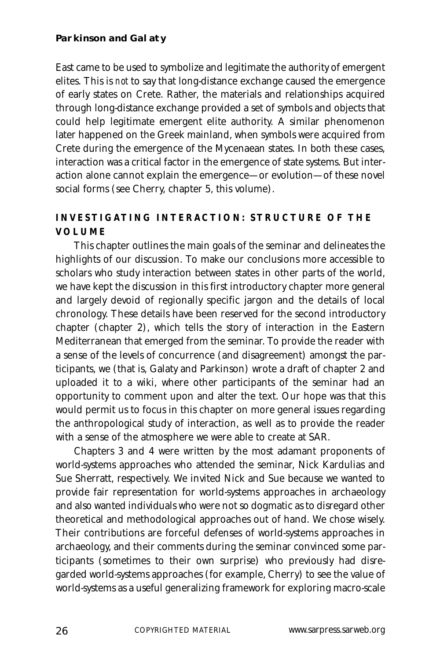East came to be used to symbolize and legitimate the authority of emergent elites. This is *not* to say that long-distance exchange caused the emergence of early states on Crete. Rather, the materials and relationships acquired through long-distance exchange provided a set of symbols and objects that could help legitimate emergent elite authority. A similar phenomenon later happened on the Greek mainland, when symbols were acquired from Crete during the emergence of the Mycenaean states. In both these cases, interaction was a critical factor in the emergence of state systems. But interaction alone cannot explain the emergence—or evolution—of these novel social forms (see Cherry, chapter 5, this volume).

# **INVESTIGATING INTERACTION: STRUCTURE OF THE VOLUME**

This chapter outlines the main goals of the seminar and delineates the highlights of our discussion. To make our conclusions more accessible to scholars who study interaction between states in other parts of the world, we have kept the discussion in this first introductory chapter more general and largely devoid of regionally specific jargon and the details of local chronology. These details have been reserved for the second introductory chapter (chapter 2), which tells the story of interaction in the Eastern Mediterranean that emerged from the seminar. To provide the reader with a sense of the levels of concurrence (and disagreement) amongst the participants, we (that is, Galaty and Parkinson) wrote a draft of chapter 2 and uploaded it to a wiki, where other participants of the seminar had an opportunity to comment upon and alter the text. Our hope was that this would permit us to focus in this chapter on more general issues regarding the anthropological study of interaction, as well as to provide the reader with a sense of the atmosphere we were able to create at SAR.

Chapters 3 and 4 were written by the most adamant proponents of world-systems approaches who attended the seminar, Nick Kardulias and Sue Sherratt, respectively. We invited Nick and Sue because we wanted to provide fair representation for world-systems approaches in archaeology and also wanted individuals who were not so dogmatic as to disregard other theoretical and methodological approaches out of hand. We chose wisely. Their contributions are forceful defenses of world-systems approaches in archaeology, and their comments during the seminar convinced some participants (sometimes to their own surprise) who previously had disregarded world-systems approaches (for example, Cherry) to see the value of world-systems as a useful generalizing framework for exploring macro-scale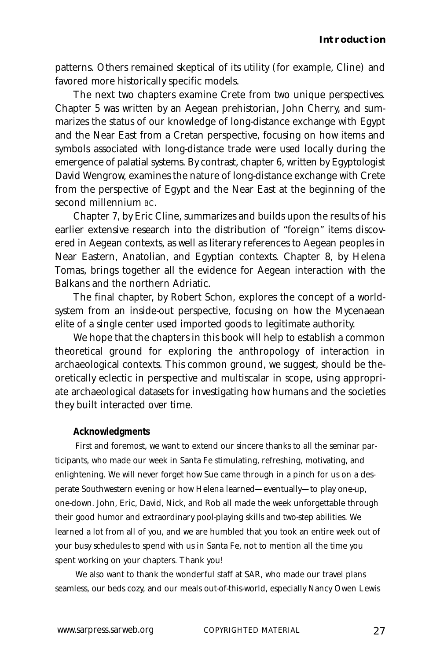patterns. Others remained skeptical of its utility (for example, Cline) and favored more historically specific models.

The next two chapters examine Crete from two unique perspectives. Chapter 5 was written by an Aegean prehistorian, John Cherry, and summarizes the status of our knowledge of long-distance exchange with Egypt and the Near East from a Cretan perspective, focusing on how items and symbols associated with long-distance trade were used locally during the emergence of palatial systems. By contrast, chapter 6, written by Egyptologist David Wengrow, examines the nature of long-distance exchange with Crete from the perspective of Egypt and the Near East at the beginning of the second millennium BC.

Chapter 7, by Eric Cline, summarizes and builds upon the results of his earlier extensive research into the distribution of "foreign" items discovered in Aegean contexts, as well as literary references to Aegean peoples in Near Eastern, Anatolian, and Egyptian contexts. Chapter 8, by Helena Tomas, brings together all the evidence for Aegean interaction with the Balkans and the northern Adriatic.

The final chapter, by Robert Schon, explores the concept of a worldsystem from an inside-out perspective, focusing on how the Mycenaean elite of a single center used imported goods to legitimate authority.

We hope that the chapters in this book will help to establish a common theoretical ground for exploring the anthropology of interaction in archaeological contexts. This common ground, we suggest, should be theoretically eclectic in perspective and multiscalar in scope, using appropriate archaeological datasets for investigating how humans and the societies they built interacted over time.

#### **Acknowledgments**

First and foremost, we want to extend our sincere thanks to all the seminar participants, who made our week in Santa Fe stimulating, refreshing, motivating, and enlightening. We will never forget how Sue came through in a pinch for us on a desperate Southwestern evening or how Helena learned—eventually—to play one-up, one-down. John, Eric, David, Nick, and Rob all made the week unforgettable through their good humor and extraordinary pool-playing skills and two-step abilities. We learned a lot from all of you, and we are humbled that you took an entire week out of your busy schedules to spend with us in Santa Fe, not to mention all the time you spent working on your chapters. Thank you!

We also want to thank the wonderful staff at SAR, who made our travel plans seamless, our beds cozy, and our meals out-of-this-world, especially Nancy Owen Lewis